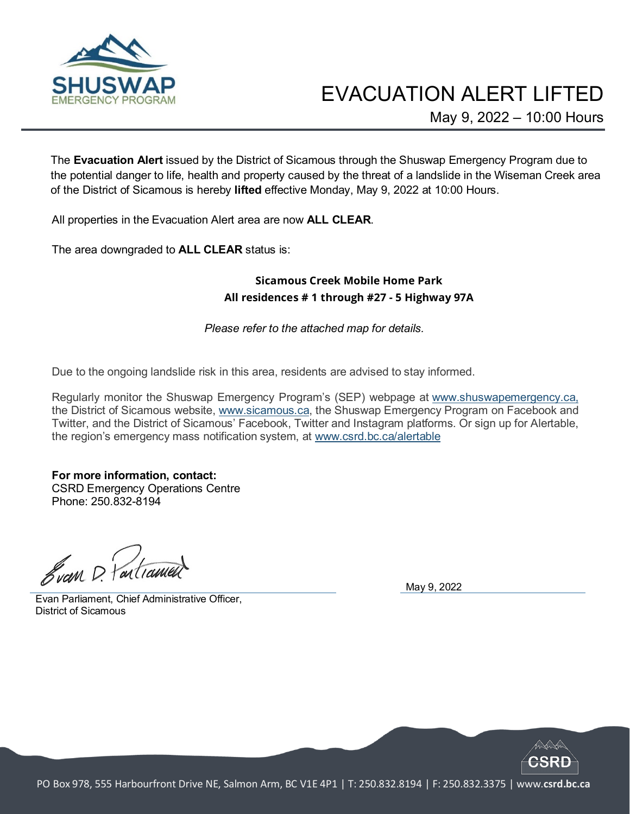

## EVACUATION ALERT LIFTED

May 9, 2022 – 10:00 Hours

The **Evacuation Alert** issued by the District of Sicamous through the Shuswap Emergency Program due to the potential danger to life, health and property caused by the threat of a landslide in the Wiseman Creek area of the District of Sicamous is hereby **lifted** effective Monday, May 9, 2022 at 10:00 Hours.

All properties in the Evacuation Alert area are now **ALL CLEAR**.

The area downgraded to **ALL CLEAR** status is:

## **Sicamous Creek Mobile Home Park All residences # 1 through #27 - 5 Highway 97A**

*Please refer to the attached map for details.*

Due to the ongoing landslide risk in this area, residents are advised to stay informed.

Regularly monitor the Shuswap Emergency Program's (SEP) webpage at [www.shuswapemergency.ca,](https://www.csrd.bc.ca/services/emergency-management/shuswap-emergency-program) the District of Sicamous website, www.sicamous.ca, the Shuswap Emergency Program on Facebook and Twitter, and the District of Sicamous' Facebook, Twitter and Instagram platforms. Or sign up for Alertable, the region's emergency mass notification system, at [www.csrd.bc.ca/alertable](http://www.csrd.bc.ca/alertable)

**For more information, contact:** CSRD Emergency Operations Centre Phone: 250.832-8194

Svan D. Partianue

Evan Parliament, Chief Administrative Officer, District of Sicamous

May 9, 2022